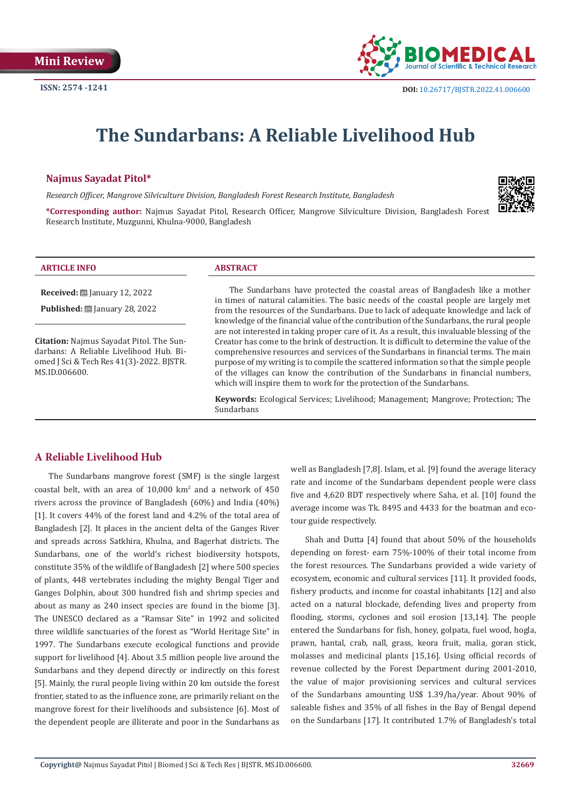

# **The Sundarbans: A Reliable Livelihood Hub**

# **Najmus Sayadat Pitol\***

*Research Officer, Mangrove Silviculture Division, Bangladesh Forest Research Institute, Bangladesh*



**\*Corresponding author:** Najmus Sayadat Pitol, Research Officer, Mangrove Silviculture Division, Bangladesh Forest Research Institute, Muzgunni, Khulna-9000, Bangladesh

#### **ARTICLE INFO ABSTRACT**

**Received:** January 12, 2022

**Published:** January 28, 2022

**Citation:** Najmus Sayadat Pitol. The Sundarbans: A Reliable Livelihood Hub. Biomed J Sci & Tech Res 41(3)-2022. BJSTR. MS.ID.006600.

The Sundarbans have protected the coastal areas of Bangladesh like a mother in times of natural calamities. The basic needs of the coastal people are largely met from the resources of the Sundarbans. Due to lack of adequate knowledge and lack of knowledge of the financial value of the contribution of the Sundarbans, the rural people are not interested in taking proper care of it. As a result, this invaluable blessing of the Creator has come to the brink of destruction. It is difficult to determine the value of the comprehensive resources and services of the Sundarbans in financial terms. The main purpose of my writing is to compile the scattered information so that the simple people of the villages can know the contribution of the Sundarbans in financial numbers, which will inspire them to work for the protection of the Sundarbans.

**Keywords:** Ecological Services; Livelihood; Management; Mangrove; Protection; The Sundarbans

# **A Reliable Livelihood Hub**

The Sundarbans mangrove forest (SMF) is the single largest coastal belt, with an area of  $10,000 \text{ km}^2$  and a network of  $450$ rivers across the province of Bangladesh (60%) and India (40%) [1]. It covers 44% of the forest land and 4.2% of the total area of Bangladesh [2]. It places in the ancient delta of the Ganges River and spreads across Satkhira, Khulna, and Bagerhat districts. The Sundarbans, one of the world's richest biodiversity hotspots, constitute 35% of the wildlife of Bangladesh [2] where 500 species of plants, 448 vertebrates including the mighty Bengal Tiger and Ganges Dolphin, about 300 hundred fish and shrimp species and about as many as 240 insect species are found in the biome [3]. The UNESCO declared as a "Ramsar Site" in 1992 and solicited three wildlife sanctuaries of the forest as "World Heritage Site" in 1997. The Sundarbans execute ecological functions and provide support for livelihood [4]. About 3.5 million people live around the Sundarbans and they depend directly or indirectly on this forest [5]. Mainly, the rural people living within 20 km outside the forest frontier, stated to as the influence zone, are primarily reliant on the mangrove forest for their livelihoods and subsistence [6]. Most of the dependent people are illiterate and poor in the Sundarbans as

well as Bangladesh [7,8]. Islam, et al. [9] found the average literacy rate and income of the Sundarbans dependent people were class five and 4,620 BDT respectively where Saha, et al. [10] found the average income was Tk. 8495 and 4433 for the boatman and ecotour guide respectively.

Shah and Dutta [4] found that about 50% of the households depending on forest- earn 75%-100% of their total income from the forest resources. The Sundarbans provided a wide variety of ecosystem, economic and cultural services [11]. It provided foods, fishery products, and income for coastal inhabitants [12] and also acted on a natural blockade, defending lives and property from flooding, storms, cyclones and soil erosion [13,14]. The people entered the Sundarbans for fish, honey, golpata, fuel wood, hogla, prawn, hantal, crab, nall, grass, keora fruit, malia, goran stick, molasses and medicinal plants [15,16]. Using official records of revenue collected by the Forest Department during 2001-2010, the value of major provisioning services and cultural services of the Sundarbans amounting US\$ 1.39/ha/year. About 90% of saleable fishes and 35% of all fishes in the Bay of Bengal depend on the Sundarbans [17]. It contributed 1.7% of Bangladesh's total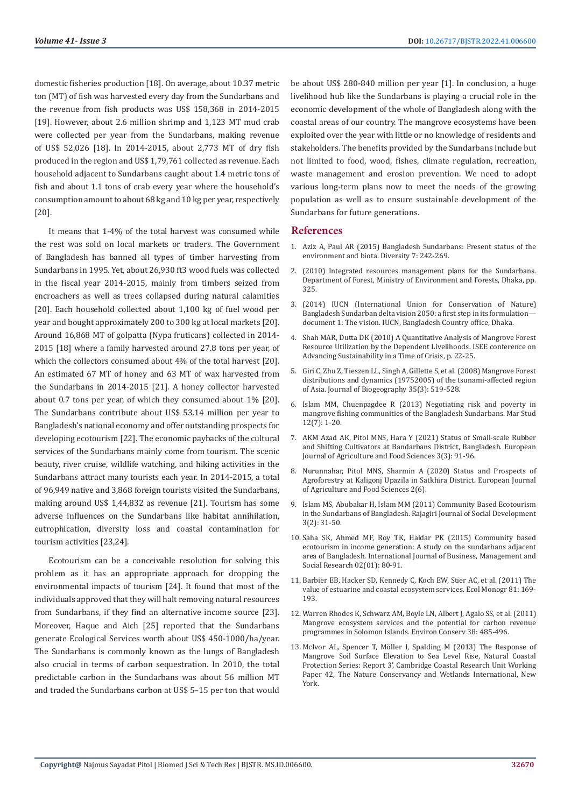domestic fisheries production [18]. On average, about 10.37 metric ton (MT) of fish was harvested every day from the Sundarbans and the revenue from fish products was US\$ 158,368 in 2014-2015 [19]. However, about 2.6 million shrimp and 1,123 MT mud crab were collected per year from the Sundarbans, making revenue of US\$ 52,026 [18]. In 2014-2015, about 2,773 MT of dry fish produced in the region and US\$ 1,79,761 collected as revenue. Each household adjacent to Sundarbans caught about 1.4 metric tons of fish and about 1.1 tons of crab every year where the household's consumption amount to about 68 kg and 10 kg per year, respectively [20].

It means that 1-4% of the total harvest was consumed while the rest was sold on local markets or traders. The Government of Bangladesh has banned all types of timber harvesting from Sundarbans in 1995. Yet, about 26,930 ft3 wood fuels was collected in the fiscal year 2014-2015, mainly from timbers seized from encroachers as well as trees collapsed during natural calamities [20]. Each household collected about 1,100 kg of fuel wood per year and bought approximately 200 to 300 kg at local markets [20]. Around 16,868 MT of golpatta (Nypa fruticans) collected in 2014- 2015 [18] where a family harvested around 27.8 tons per year, of which the collectors consumed about 4% of the total harvest [20]. An estimated 67 MT of honey and 63 MT of wax harvested from the Sundarbans in 2014-2015 [21]. A honey collector harvested about 0.7 tons per year, of which they consumed about 1% [20]. The Sundarbans contribute about US\$ 53.14 million per year to Bangladesh's national economy and offer outstanding prospects for developing ecotourism [22]. The economic paybacks of the cultural services of the Sundarbans mainly come from tourism. The scenic beauty, river cruise, wildlife watching, and hiking activities in the Sundarbans attract many tourists each year. In 2014-2015, a total of 96,949 native and 3,868 foreign tourists visited the Sundarbans, making around US\$ 1,44,832 as revenue [21]. Tourism has some adverse influences on the Sundarbans like habitat annihilation, eutrophication, diversity loss and coastal contamination for tourism activities [23,24].

Ecotourism can be a conceivable resolution for solving this problem as it has an appropriate approach for dropping the environmental impacts of tourism [24]. It found that most of the individuals approved that they will halt removing natural resources from Sundarbans, if they find an alternative income source [23]. Moreover, Haque and Aich [25] reported that the Sundarbans generate Ecological Services worth about US\$ 450-1000/ha/year. The Sundarbans is commonly known as the lungs of Bangladesh also crucial in terms of carbon sequestration. In 2010, the total predictable carbon in the Sundarbans was about 56 million MT and traded the Sundarbans carbon at US\$ 5–15 per ton that would

be about US\$ 280-840 million per year [1]. In conclusion, a huge livelihood hub like the Sundarbans is playing a crucial role in the economic development of the whole of Bangladesh along with the coastal areas of our country. The mangrove ecosystems have been exploited over the year with little or no knowledge of residents and stakeholders. The benefits provided by the Sundarbans include but not limited to food, wood, fishes, climate regulation, recreation, waste management and erosion prevention. We need to adopt various long-term plans now to meet the needs of the growing population as well as to ensure sustainable development of the Sundarbans for future generations.

## **References**

- 1. [Aziz A, Paul AR \(2015\) Bangladesh Sundarbans: Present status of the](https://www.mdpi.com/1424-2818/7/3/242) [environment and biota. Diversity 7: 242-269.](https://www.mdpi.com/1424-2818/7/3/242)
- 2. [\(2010\) Integrated resources management plans for the Sundarbans.](http://103.48.18.141/library/wp-content/uploads/2018/11/5-44-NN_SRF_IRMP_Volume-1.pdf) [Department of Forest, Ministry of Environment and Forests, Dhaka, pp.](http://103.48.18.141/library/wp-content/uploads/2018/11/5-44-NN_SRF_IRMP_Volume-1.pdf) [325](http://103.48.18.141/library/wp-content/uploads/2018/11/5-44-NN_SRF_IRMP_Volume-1.pdf).
- 3. [\(2014\) IUCN \(International Union for Conservation of Nature\)](https://portals.iucn.org/library/sites/library/files/documents/2014-065-doc.1.pdf) [Bangladesh Sundarban delta vision 2050: a first step in its formulation](https://portals.iucn.org/library/sites/library/files/documents/2014-065-doc.1.pdf) [document 1: The vision. IUCN, Bangladesh Country office, Dhaka.](https://portals.iucn.org/library/sites/library/files/documents/2014-065-doc.1.pdf)
- 4. Shah MAR, Dutta DK (2010) A Quantitative Analysis of Mangrove Forest Resource Utilization by the Dependent Livelihoods. ISEE conference on Advancing Sustainability in a Time of Crisis, p. 22-25.
- 5. Giri C, Zhu Z, Tieszen LL, Singh A, Gillette S, et al. (2008) Mangrove Forest distributions and dynamics (19752005) of the tsunami-affected region of Asia. Journal of Biogeography 35(3): 519-528.
- 6. [Islam MM, Chuenpagdee R \(2013\) Negotiating risk and poverty in](https://link.springer.com/article/10.1186/2212-9790-12-7) [mangrove fishing communities of the Bangladesh Sundarbans. Mar Stud](https://link.springer.com/article/10.1186/2212-9790-12-7) [12\(7\): 1-20](https://link.springer.com/article/10.1186/2212-9790-12-7).
- 7. [AKM Azad AK, Pitol MNS, Hara Y \(2021\) Status of Small-scale Rubber](https://www.researchgate.net/publication/352262357_Status_of_Small-scale_Rubber_and_Shifting_Cultivators_at_Bandarbans_District_Bangladesh) [and Shifting Cultivators at Bandarbans District, Bangladesh. European](https://www.researchgate.net/publication/352262357_Status_of_Small-scale_Rubber_and_Shifting_Cultivators_at_Bandarbans_District_Bangladesh) [Journal of Agriculture and Food Sciences 3\(3\): 91-96.](https://www.researchgate.net/publication/352262357_Status_of_Small-scale_Rubber_and_Shifting_Cultivators_at_Bandarbans_District_Bangladesh)
- 8. [Nurunnahar, Pitol MNS, Sharmin A \(2020\) Status and Prospects of](https://www.researchgate.net/publication/346926207_Status_and_Prospects_of_Agroforestry_at_Kaligonj_Upazila_in_Satkhira_District) [Agroforestry at Kaligonj Upazila in Satkhira District. European Journal](https://www.researchgate.net/publication/346926207_Status_and_Prospects_of_Agroforestry_at_Kaligonj_Upazila_in_Satkhira_District) [of Agriculture and Food Sciences 2\(6\).](https://www.researchgate.net/publication/346926207_Status_and_Prospects_of_Agroforestry_at_Kaligonj_Upazila_in_Satkhira_District)
- 9. [Islam MS, Abubakar H, Islam MM \(2011\) Community Based Ecotourism](https://www.researchgate.net/publication/329935446_COMMUNITY_BASED_ECOTOURISM_IN_THE_SUNDARBANS_OF_BANGLADESH) [in the Sundarbans of Bangladesh. Rajagiri Journal of Social Development](https://www.researchgate.net/publication/329935446_COMMUNITY_BASED_ECOTOURISM_IN_THE_SUNDARBANS_OF_BANGLADESH) [3\(2\): 31-50.](https://www.researchgate.net/publication/329935446_COMMUNITY_BASED_ECOTOURISM_IN_THE_SUNDARBANS_OF_BANGLADESH)
- 10. [Saha SK, Ahmed MF, Roy TK, Haldar PK \(2015\) Community based](https://www.researchgate.net/publication/285904162_Community_based_ecotourism_in_income_generation_a_study_on_the_sundarbans_adjacent_area_of_Bangladesh) [ecotourism in income generation: A study on the sundarbans adjacent](https://www.researchgate.net/publication/285904162_Community_based_ecotourism_in_income_generation_a_study_on_the_sundarbans_adjacent_area_of_Bangladesh) [area of Bangladesh. International Journal of Business, Management and](https://www.researchgate.net/publication/285904162_Community_based_ecotourism_in_income_generation_a_study_on_the_sundarbans_adjacent_area_of_Bangladesh) [Social Research 02\(01\): 80-91.](https://www.researchgate.net/publication/285904162_Community_based_ecotourism_in_income_generation_a_study_on_the_sundarbans_adjacent_area_of_Bangladesh)
- 11. [Barbier EB, Hacker SD, Kennedy C, Koch EW, Stier AC, et al. \(2011\) The](https://esajournals.onlinelibrary.wiley.com/doi/10.1890/10-1510.1) [value of estuarine and coastal ecosystem services. Ecol Monogr 81: 169-](https://esajournals.onlinelibrary.wiley.com/doi/10.1890/10-1510.1) [193.](https://esajournals.onlinelibrary.wiley.com/doi/10.1890/10-1510.1)
- 12. [Warren Rhodes K, Schwarz AM, Boyle LN, Albert J, Agalo SS, et al. \(2011\)](https://www.researchgate.net/publication/231761708_Mangrove_ecosystem_services_and_the_potential_for_carbon_revenue_programmes_in_Solomon_Islands) [Mangrove ecosystem services and the potential for carbon revenue](https://www.researchgate.net/publication/231761708_Mangrove_ecosystem_services_and_the_potential_for_carbon_revenue_programmes_in_Solomon_Islands) [programmes in Solomon Islands. Environ Conserv 38: 485-496.](https://www.researchgate.net/publication/231761708_Mangrove_ecosystem_services_and_the_potential_for_carbon_revenue_programmes_in_Solomon_Islands)
- 13. McIvor AL, Spencer T, Mö[ller I, Spalding M \(2013\) The Response of](https://www.conservationgateway.org/ConservationPractices/Marine/crr/library/Documents/mangrove-surface-elevation-and-sea-level-rise.pdf) [Mangrove Soil Surface Elevation to Sea Level Rise, Natural Coastal](https://www.conservationgateway.org/ConservationPractices/Marine/crr/library/Documents/mangrove-surface-elevation-and-sea-level-rise.pdf) [Protection Series: Report 3', Cambridge Coastal Research Unit Working](https://www.conservationgateway.org/ConservationPractices/Marine/crr/library/Documents/mangrove-surface-elevation-and-sea-level-rise.pdf) [Paper 42, The Nature Conservancy and Wetlands International, New](https://www.conservationgateway.org/ConservationPractices/Marine/crr/library/Documents/mangrove-surface-elevation-and-sea-level-rise.pdf) [York.](https://www.conservationgateway.org/ConservationPractices/Marine/crr/library/Documents/mangrove-surface-elevation-and-sea-level-rise.pdf)